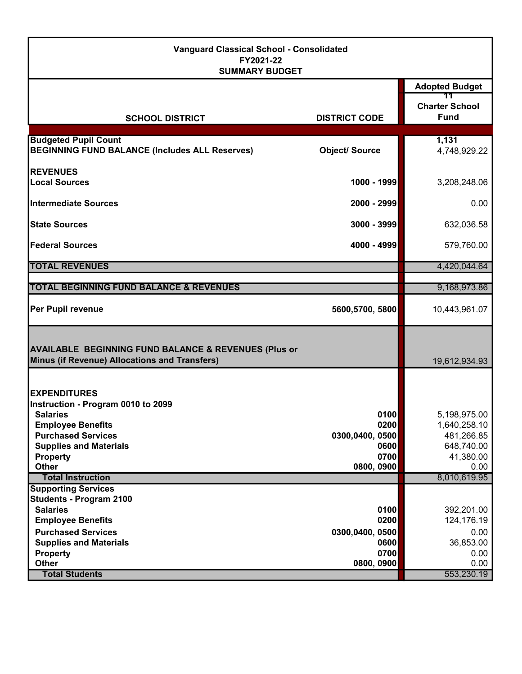| <b>Vanguard Classical School - Consolidated</b><br>FY2021-22<br><b>SUMMARY BUDGET</b>                            |                         |                                      |  |
|------------------------------------------------------------------------------------------------------------------|-------------------------|--------------------------------------|--|
|                                                                                                                  |                         | <b>Adopted Budget</b>                |  |
| <b>SCHOOL DISTRICT</b>                                                                                           | <b>DISTRICT CODE</b>    | <b>Charter School</b><br><b>Fund</b> |  |
|                                                                                                                  |                         |                                      |  |
| <b>Budgeted Pupil Count</b><br><b>BEGINNING FUND BALANCE (Includes ALL Reserves)</b>                             | <b>Object/ Source</b>   | 1,131<br>4,748,929.22                |  |
| <b>REVENUES</b>                                                                                                  |                         |                                      |  |
| <b>Local Sources</b>                                                                                             | 1000 - 1999             | 3,208,248.06                         |  |
| Intermediate Sources                                                                                             | 2000 - 2999             | 0.00                                 |  |
| <b>State Sources</b>                                                                                             | 3000 - 3999             | 632,036.58                           |  |
| lFederal Sources                                                                                                 | 4000 - 4999             | 579,760.00                           |  |
| <b>TOTAL REVENUES</b>                                                                                            |                         | 4,420,044.64                         |  |
| <b>TOTAL BEGINNING FUND BALANCE &amp; REVENUES</b>                                                               |                         | 9,168,973.86                         |  |
| <b>Per Pupil revenue</b>                                                                                         | 5600,5700, 5800         | 10,443,961.07                        |  |
| <b>AVAILABLE BEGINNING FUND BALANCE &amp; REVENUES (Plus or</b><br>Minus (if Revenue) Allocations and Transfers) |                         | 19,612,934.93                        |  |
| <b>IEXPENDITURES</b><br>Instruction - Program 0010 to 2099<br><b>Salaries</b>                                    | 0100                    | 5,198,975.00                         |  |
| <b>Employee Benefits</b><br><b>Purchased Services</b>                                                            | 0200<br>0300,0400, 0500 | 1,640,258.10<br>481,266.85           |  |
| <b>Supplies and Materials</b>                                                                                    | 0600                    | 648,740.00                           |  |
| <b>Property</b>                                                                                                  | 0700                    | 41,380.00                            |  |
| <b>Other</b>                                                                                                     | 0800, 0900              | 0.00                                 |  |
| <b>Total Instruction</b>                                                                                         |                         | 8,010,619.95                         |  |
| <b>Supporting Services</b><br><b>Students - Program 2100</b>                                                     |                         |                                      |  |
| <b>Salaries</b>                                                                                                  | 0100                    | 392,201.00                           |  |
| <b>Employee Benefits</b>                                                                                         | 0200                    | 124,176.19                           |  |
| <b>Purchased Services</b>                                                                                        | 0300,0400,0500          | 0.00                                 |  |
| <b>Supplies and Materials</b>                                                                                    | 0600                    | 36,853.00                            |  |
| <b>Property</b>                                                                                                  | 0700                    | 0.00                                 |  |
| Other                                                                                                            | 0800, 0900              | 0.00                                 |  |
| <b>Total Students</b>                                                                                            |                         | 553,230.19                           |  |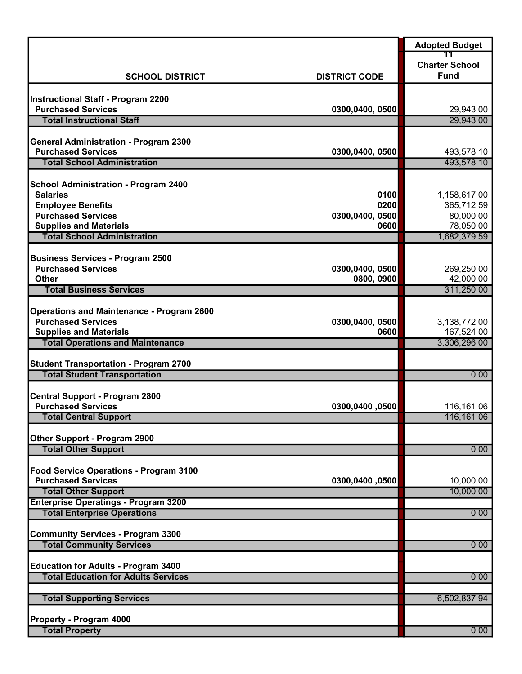|                                                                        |                         | <b>Adopted Budget</b>      |
|------------------------------------------------------------------------|-------------------------|----------------------------|
|                                                                        |                         | <b>Charter School</b>      |
| <b>SCHOOL DISTRICT</b>                                                 | <b>DISTRICT CODE</b>    | <b>Fund</b>                |
|                                                                        |                         |                            |
| <b>Instructional Staff - Program 2200</b><br><b>Purchased Services</b> |                         |                            |
| <b>Total Instructional Staff</b>                                       | 0300,0400, 0500         | 29,943.00<br>29,943.00     |
|                                                                        |                         |                            |
| <b>General Administration - Program 2300</b>                           |                         |                            |
| <b>Purchased Services</b>                                              | 0300,0400, 0500         | 493,578.10                 |
| <b>Total School Administration</b>                                     |                         | 493,578.10                 |
| <b>School Administration - Program 2400</b>                            |                         |                            |
| <b>Salaries</b>                                                        | 0100                    | 1,158,617.00               |
| <b>Employee Benefits</b>                                               | 0200                    | 365,712.59                 |
| <b>Purchased Services</b>                                              | 0300,0400, 0500         | 80,000.00                  |
| <b>Supplies and Materials</b>                                          | 0600                    | 78,050.00                  |
| <b>Total School Administration</b>                                     |                         | 1,682,379.59               |
| <b>Business Services - Program 2500</b>                                |                         |                            |
| <b>Purchased Services</b>                                              | 0300,0400, 0500         | 269,250.00                 |
| <b>Other</b>                                                           | 0800, 0900              | 42,000.00                  |
| <b>Total Business Services</b>                                         |                         | 311,250.00                 |
|                                                                        |                         |                            |
| <b>Operations and Maintenance - Program 2600</b>                       |                         |                            |
| <b>Purchased Services</b><br><b>Supplies and Materials</b>             | 0300,0400, 0500<br>0600 | 3,138,772.00<br>167,524.00 |
| <b>Total Operations and Maintenance</b>                                |                         | 3,306,296.00               |
|                                                                        |                         |                            |
| <b>Student Transportation - Program 2700</b>                           |                         |                            |
| <b>Total Student Transportation</b>                                    |                         | 0.00                       |
| <b>Central Support - Program 2800</b>                                  |                         |                            |
| <b>Purchased Services</b>                                              | 0300,0400,0500          | 116,161.06                 |
| <b>Total Central Support</b>                                           |                         | 116,161.06                 |
|                                                                        |                         |                            |
| Other Support - Program 2900                                           |                         |                            |
| <b>Total Other Support</b>                                             |                         | 0.00                       |
| Food Service Operations - Program 3100                                 |                         |                            |
| <b>Purchased Services</b>                                              | 0300,0400,0500          | 10,000.00                  |
| <b>Total Other Support</b>                                             |                         | 10,000.00                  |
| <b>Enterprise Operatings - Program 3200</b>                            |                         |                            |
| <b>Total Enterprise Operations</b>                                     |                         | 0.00                       |
| <b>Community Services - Program 3300</b>                               |                         |                            |
| <b>Total Community Services</b>                                        |                         | 0.00                       |
|                                                                        |                         |                            |
| <b>Education for Adults - Program 3400</b>                             |                         |                            |
| <b>Total Education for Adults Services</b>                             |                         | 0.00                       |
| <b>Total Supporting Services</b>                                       |                         | 6,502,837.94               |
|                                                                        |                         |                            |
| <b>Property - Program 4000</b>                                         |                         |                            |
| <b>Total Property</b>                                                  |                         | 0.00                       |